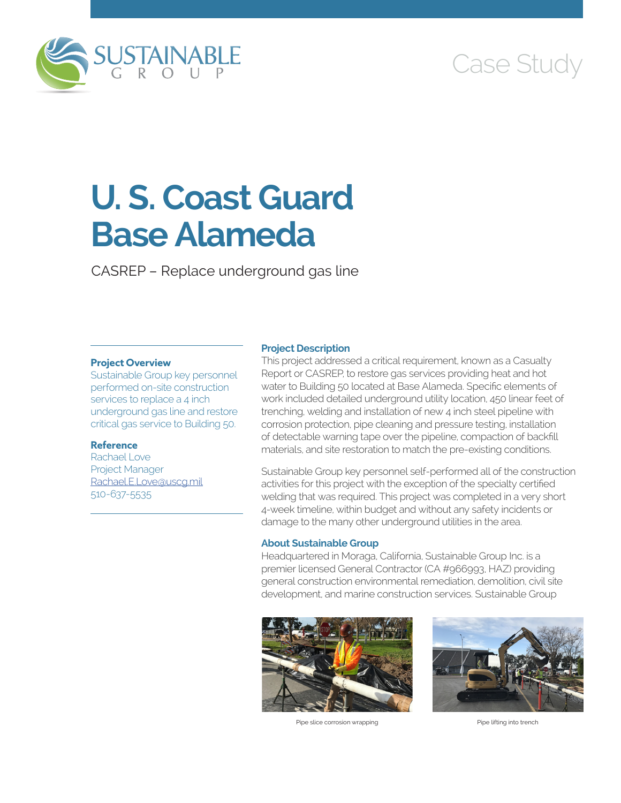

# Case Study

# **U. S. Coast Guard Base Alameda**

CASREP – Replace underground gas line

## **Project Overview**

Sustainable Group key personnel performed on-site construction services to replace a 4 inch underground gas line and restore critical gas service to Building 50.

#### **Reference**

Rachael Love Project Manager [Rachael.E.Love@uscg.mil](mailto:Rachael.E.Love@uscg.mil) 510-637-5535

#### **Project Description**

This project addressed a critical requirement, known as a Casualty Report or CASREP, to restore gas services providing heat and hot water to Building 50 located at Base Alameda. Specific elements of work included detailed underground utility location, 450 linear feet of trenching, welding and installation of new 4 inch steel pipeline with corrosion protection, pipe cleaning and pressure testing, installation of detectable warning tape over the pipeline, compaction of backfill materials, and site restoration to match the pre-existing conditions.

Sustainable Group key personnel self-performed all of the construction activities for this project with the exception of the specialty certified welding that was required. This project was completed in a very short 4-week timeline, within budget and without any safety incidents or damage to the many other underground utilities in the area.

## **About Sustainable Group**

Headquartered in Moraga, California, Sustainable Group Inc. is a premier licensed General Contractor (CA #966993, HAZ) providing general construction environmental remediation, demolition, civil site development, and marine construction services. Sustainable Group



Pipe slice corrosion wrapping **Pipe Solution** Pipe lifting into trench